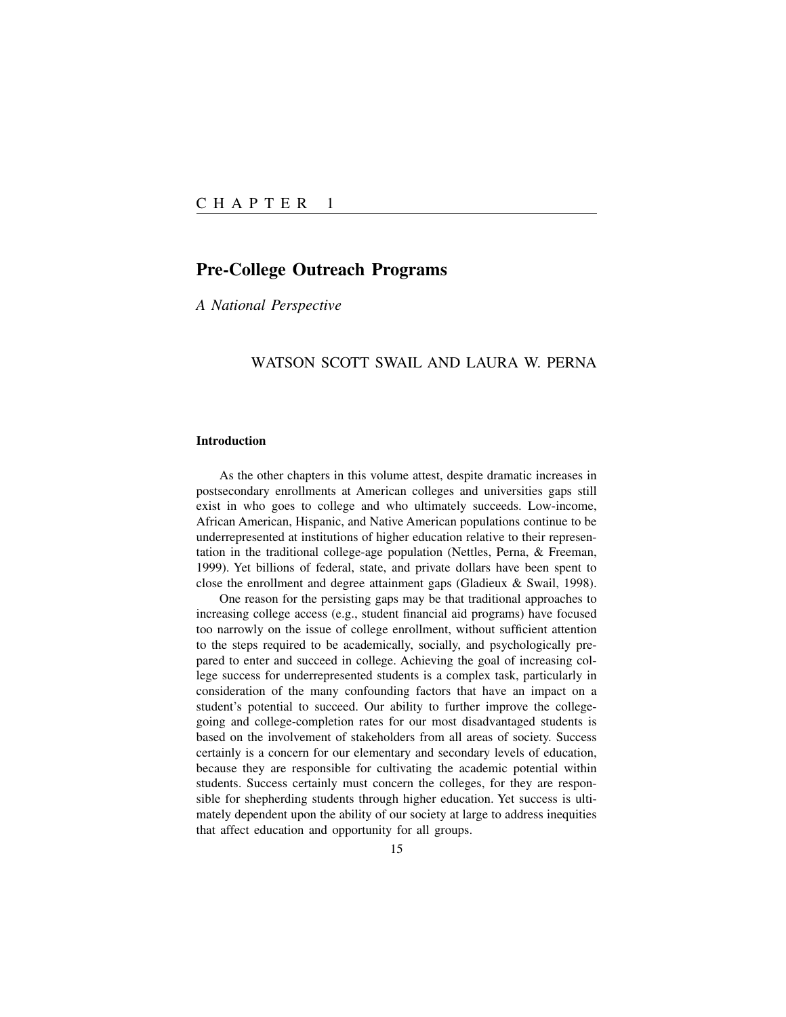# **Pre-College Outreach Programs**

*A National Perspective*

# WATSON SCOTT SWAIL AND LAURA W. PERNA

## **Introduction**

As the other chapters in this volume attest, despite dramatic increases in postsecondary enrollments at American colleges and universities gaps still exist in who goes to college and who ultimately succeeds. Low-income, African American, Hispanic, and Native American populations continue to be underrepresented at institutions of higher education relative to their representation in the traditional college-age population (Nettles, Perna, & Freeman, 1999). Yet billions of federal, state, and private dollars have been spent to close the enrollment and degree attainment gaps (Gladieux & Swail, 1998).

One reason for the persisting gaps may be that traditional approaches to increasing college access (e.g., student financial aid programs) have focused too narrowly on the issue of college enrollment, without sufficient attention to the steps required to be academically, socially, and psychologically prepared to enter and succeed in college. Achieving the goal of increasing college success for underrepresented students is a complex task, particularly in consideration of the many confounding factors that have an impact on a student's potential to succeed. Our ability to further improve the collegegoing and college-completion rates for our most disadvantaged students is based on the involvement of stakeholders from all areas of society. Success certainly is a concern for our elementary and secondary levels of education, because they are responsible for cultivating the academic potential within students. Success certainly must concern the colleges, for they are responsible for shepherding students through higher education. Yet success is ultimately dependent upon the ability of our society at large to address inequities that affect education and opportunity for all groups.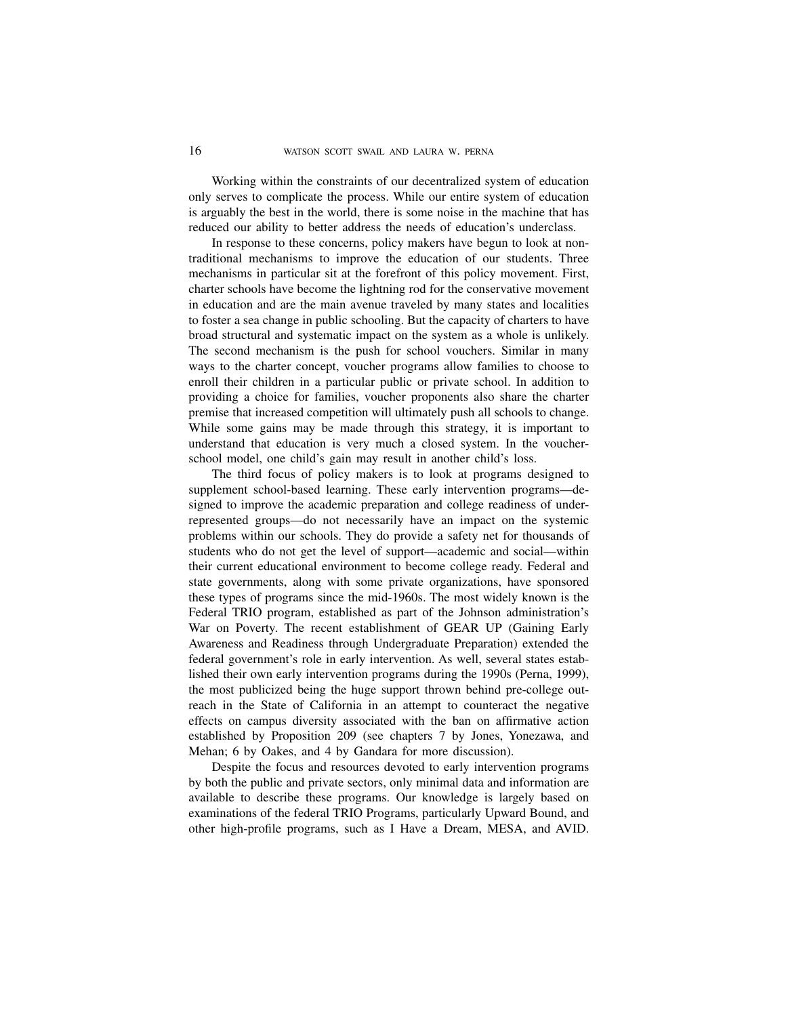Working within the constraints of our decentralized system of education only serves to complicate the process. While our entire system of education is arguably the best in the world, there is some noise in the machine that has reduced our ability to better address the needs of education's underclass.

In response to these concerns, policy makers have begun to look at nontraditional mechanisms to improve the education of our students. Three mechanisms in particular sit at the forefront of this policy movement. First, charter schools have become the lightning rod for the conservative movement in education and are the main avenue traveled by many states and localities to foster a sea change in public schooling. But the capacity of charters to have broad structural and systematic impact on the system as a whole is unlikely. The second mechanism is the push for school vouchers. Similar in many ways to the charter concept, voucher programs allow families to choose to enroll their children in a particular public or private school. In addition to providing a choice for families, voucher proponents also share the charter premise that increased competition will ultimately push all schools to change. While some gains may be made through this strategy, it is important to understand that education is very much a closed system. In the voucherschool model, one child's gain may result in another child's loss.

The third focus of policy makers is to look at programs designed to supplement school-based learning. These early intervention programs—designed to improve the academic preparation and college readiness of underrepresented groups—do not necessarily have an impact on the systemic problems within our schools. They do provide a safety net for thousands of students who do not get the level of support—academic and social—within their current educational environment to become college ready. Federal and state governments, along with some private organizations, have sponsored these types of programs since the mid-1960s. The most widely known is the Federal TRIO program, established as part of the Johnson administration's War on Poverty. The recent establishment of GEAR UP (Gaining Early Awareness and Readiness through Undergraduate Preparation) extended the federal government's role in early intervention. As well, several states established their own early intervention programs during the 1990s (Perna, 1999), the most publicized being the huge support thrown behind pre-college outreach in the State of California in an attempt to counteract the negative effects on campus diversity associated with the ban on affirmative action established by Proposition 209 (see chapters 7 by Jones, Yonezawa, and Mehan; 6 by Oakes, and 4 by Gandara for more discussion).

Despite the focus and resources devoted to early intervention programs by both the public and private sectors, only minimal data and information are available to describe these programs. Our knowledge is largely based on examinations of the federal TRIO Programs, particularly Upward Bound, and other high-profile programs, such as I Have a Dream, MESA, and AVID.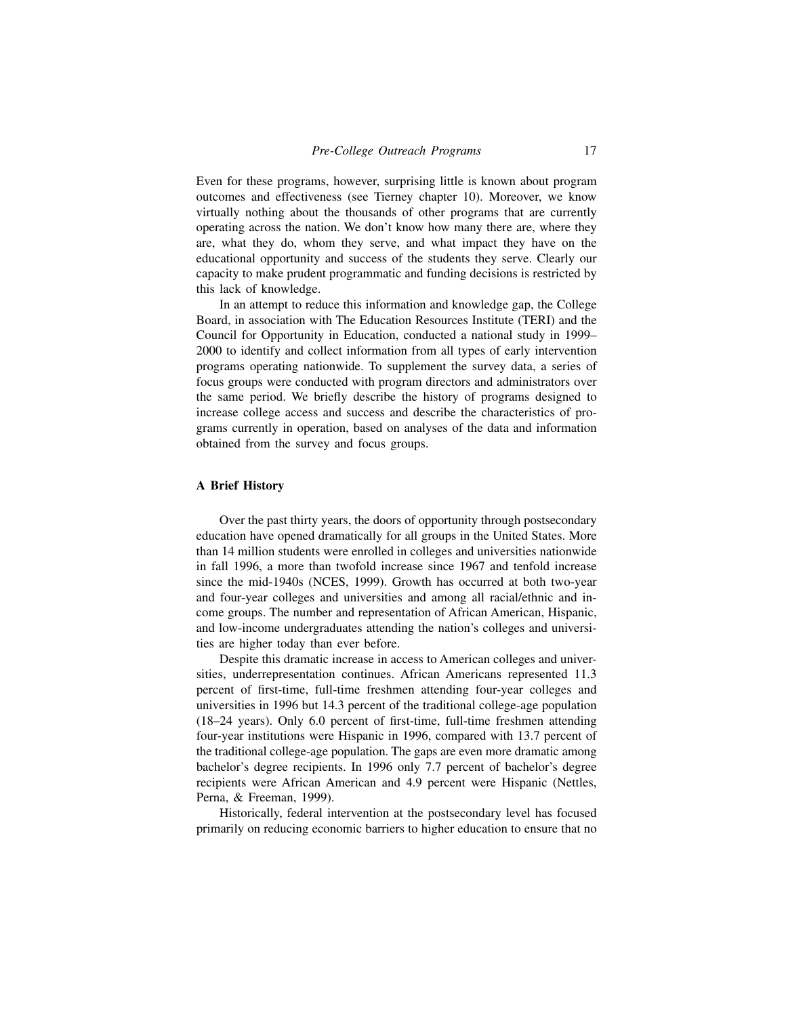Even for these programs, however, surprising little is known about program outcomes and effectiveness (see Tierney chapter 10). Moreover, we know virtually nothing about the thousands of other programs that are currently operating across the nation. We don't know how many there are, where they are, what they do, whom they serve, and what impact they have on the educational opportunity and success of the students they serve. Clearly our capacity to make prudent programmatic and funding decisions is restricted by this lack of knowledge.

In an attempt to reduce this information and knowledge gap, the College Board, in association with The Education Resources Institute (TERI) and the Council for Opportunity in Education, conducted a national study in 1999– 2000 to identify and collect information from all types of early intervention programs operating nationwide. To supplement the survey data, a series of focus groups were conducted with program directors and administrators over the same period. We briefly describe the history of programs designed to increase college access and success and describe the characteristics of programs currently in operation, based on analyses of the data and information obtained from the survey and focus groups.

## **A Brief History**

Over the past thirty years, the doors of opportunity through postsecondary education have opened dramatically for all groups in the United States. More than 14 million students were enrolled in colleges and universities nationwide in fall 1996, a more than twofold increase since 1967 and tenfold increase since the mid-1940s (NCES, 1999). Growth has occurred at both two-year and four-year colleges and universities and among all racial/ethnic and income groups. The number and representation of African American, Hispanic, and low-income undergraduates attending the nation's colleges and universities are higher today than ever before.

Despite this dramatic increase in access to American colleges and universities, underrepresentation continues. African Americans represented 11.3 percent of first-time, full-time freshmen attending four-year colleges and universities in 1996 but 14.3 percent of the traditional college-age population (18–24 years). Only 6.0 percent of first-time, full-time freshmen attending four-year institutions were Hispanic in 1996, compared with 13.7 percent of the traditional college-age population. The gaps are even more dramatic among bachelor's degree recipients. In 1996 only 7.7 percent of bachelor's degree recipients were African American and 4.9 percent were Hispanic (Nettles, Perna, & Freeman, 1999).

Historically, federal intervention at the postsecondary level has focused primarily on reducing economic barriers to higher education to ensure that no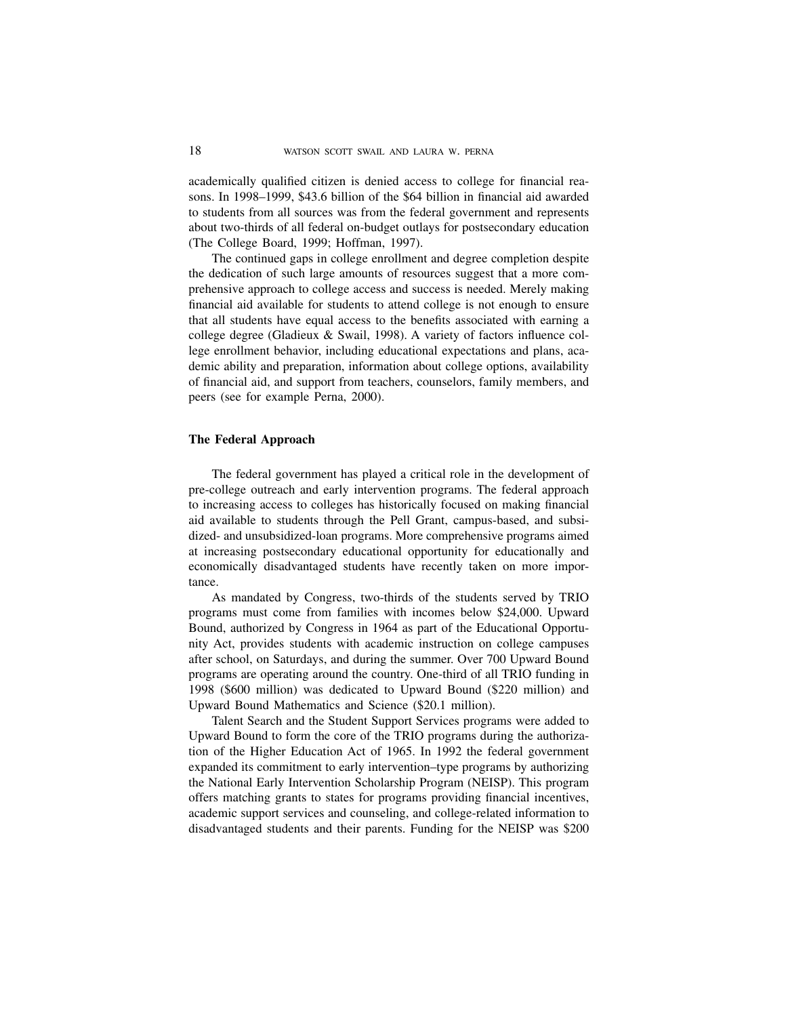academically qualified citizen is denied access to college for financial reasons. In 1998–1999, \$43.6 billion of the \$64 billion in financial aid awarded to students from all sources was from the federal government and represents about two-thirds of all federal on-budget outlays for postsecondary education (The College Board, 1999; Hoffman, 1997).

The continued gaps in college enrollment and degree completion despite the dedication of such large amounts of resources suggest that a more comprehensive approach to college access and success is needed. Merely making financial aid available for students to attend college is not enough to ensure that all students have equal access to the benefits associated with earning a college degree (Gladieux & Swail, 1998). A variety of factors influence college enrollment behavior, including educational expectations and plans, academic ability and preparation, information about college options, availability of financial aid, and support from teachers, counselors, family members, and peers (see for example Perna, 2000).

## **The Federal Approach**

The federal government has played a critical role in the development of pre-college outreach and early intervention programs. The federal approach to increasing access to colleges has historically focused on making financial aid available to students through the Pell Grant, campus-based, and subsidized- and unsubsidized-loan programs. More comprehensive programs aimed at increasing postsecondary educational opportunity for educationally and economically disadvantaged students have recently taken on more importance.

As mandated by Congress, two-thirds of the students served by TRIO programs must come from families with incomes below \$24,000. Upward Bound, authorized by Congress in 1964 as part of the Educational Opportunity Act, provides students with academic instruction on college campuses after school, on Saturdays, and during the summer. Over 700 Upward Bound programs are operating around the country. One-third of all TRIO funding in 1998 (\$600 million) was dedicated to Upward Bound (\$220 million) and Upward Bound Mathematics and Science (\$20.1 million).

Talent Search and the Student Support Services programs were added to Upward Bound to form the core of the TRIO programs during the authorization of the Higher Education Act of 1965. In 1992 the federal government expanded its commitment to early intervention–type programs by authorizing the National Early Intervention Scholarship Program (NEISP). This program offers matching grants to states for programs providing financial incentives, academic support services and counseling, and college-related information to disadvantaged students and their parents. Funding for the NEISP was \$200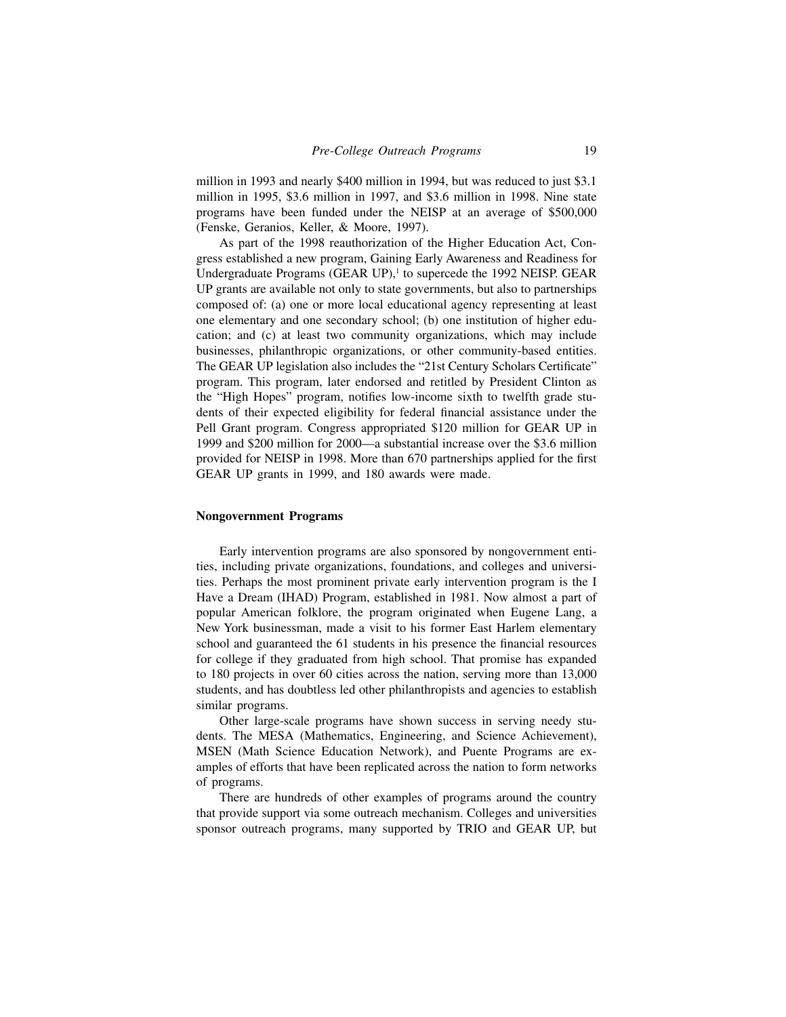million in 1993 and nearly \$400 million in 1994, but was reduced to just \$3.1 million in 1995, \$3.6 million in 1997, and \$3.6 million in 1998. Nine state programs have been funded under the NEISP at an average of \$500,000 (Fenske, Geranios, Keller, & Moore, 1997).

As part of the 1998 reauthorization of the Higher Education Act, Congress established a new program, Gaining Early Awareness and Readiness for Undergraduate Programs (GEAR UP),<sup>1</sup> to supercede the 1992 NEISP. GEAR UP grants are available not only to state governments, but also to partnerships composed of: (a) one or more local educational agency representing at least one elementary and one secondary school; (b) one institution of higher education; and (c) at least two community organizations, which may include businesses, philanthropic organizations, or other community-based entities. The GEAR UP legislation also includes the "21st Century Scholars Certificate" program. This program, later endorsed and retitled by President Clinton as the "High Hopes" program, notifies low-income sixth to twelfth grade students of their expected eligibility for federal financial assistance under the Pell Grant program. Congress appropriated \$120 million for GEAR UP in 1999 and \$200 million for 2000—a substantial increase over the \$3.6 million provided for NEISP in 1998. More than 670 partnerships applied for the first GEAR UP grants in 1999, and 180 awards were made.

## **Nongovernment Programs**

Early intervention programs are also sponsored by nongovernment entities, including private organizations, foundations, and colleges and universities. Perhaps the most prominent private early intervention program is the I Have a Dream (IHAD) Program, established in 1981. Now almost a part of popular American folklore, the program originated when Eugene Lang, a New York businessman, made a visit to his former East Harlem elementary school and guaranteed the 61 students in his presence the financial resources for college if they graduated from high school. That promise has expanded to 180 projects in over 60 cities across the nation, serving more than 13,000 students, and has doubtless led other philanthropists and agencies to establish similar programs.

Other large-scale programs have shown success in serving needy students. The MESA (Mathematics, Engineering, and Science Achievement), MSEN (Math Science Education Network), and Puente Programs are examples of efforts that have been replicated across the nation to form networks of programs.

There are hundreds of other examples of programs around the country that provide support via some outreach mechanism. Colleges and universities sponsor outreach programs, many supported by TRIO and GEAR UP, but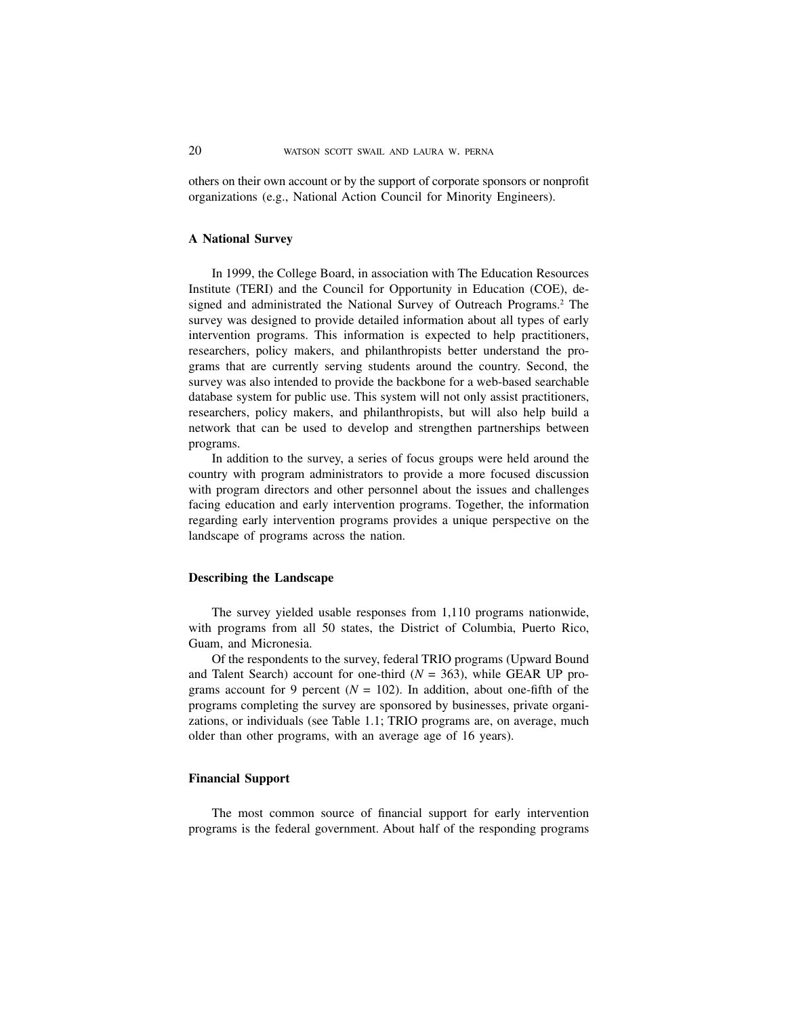others on their own account or by the support of corporate sponsors or nonprofit organizations (e.g., National Action Council for Minority Engineers).

#### **A National Survey**

In 1999, the College Board, in association with The Education Resources Institute (TERI) and the Council for Opportunity in Education (COE), designed and administrated the National Survey of Outreach Programs.2 The survey was designed to provide detailed information about all types of early intervention programs. This information is expected to help practitioners, researchers, policy makers, and philanthropists better understand the programs that are currently serving students around the country. Second, the survey was also intended to provide the backbone for a web-based searchable database system for public use. This system will not only assist practitioners, researchers, policy makers, and philanthropists, but will also help build a network that can be used to develop and strengthen partnerships between programs.

In addition to the survey, a series of focus groups were held around the country with program administrators to provide a more focused discussion with program directors and other personnel about the issues and challenges facing education and early intervention programs. Together, the information regarding early intervention programs provides a unique perspective on the landscape of programs across the nation.

## **Describing the Landscape**

The survey yielded usable responses from 1,110 programs nationwide, with programs from all 50 states, the District of Columbia, Puerto Rico, Guam, and Micronesia.

Of the respondents to the survey, federal TRIO programs (Upward Bound and Talent Search) account for one-third  $(N = 363)$ , while GEAR UP programs account for 9 percent  $(N = 102)$ . In addition, about one-fifth of the programs completing the survey are sponsored by businesses, private organizations, or individuals (see Table 1.1; TRIO programs are, on average, much older than other programs, with an average age of 16 years).

## **Financial Support**

The most common source of financial support for early intervention programs is the federal government. About half of the responding programs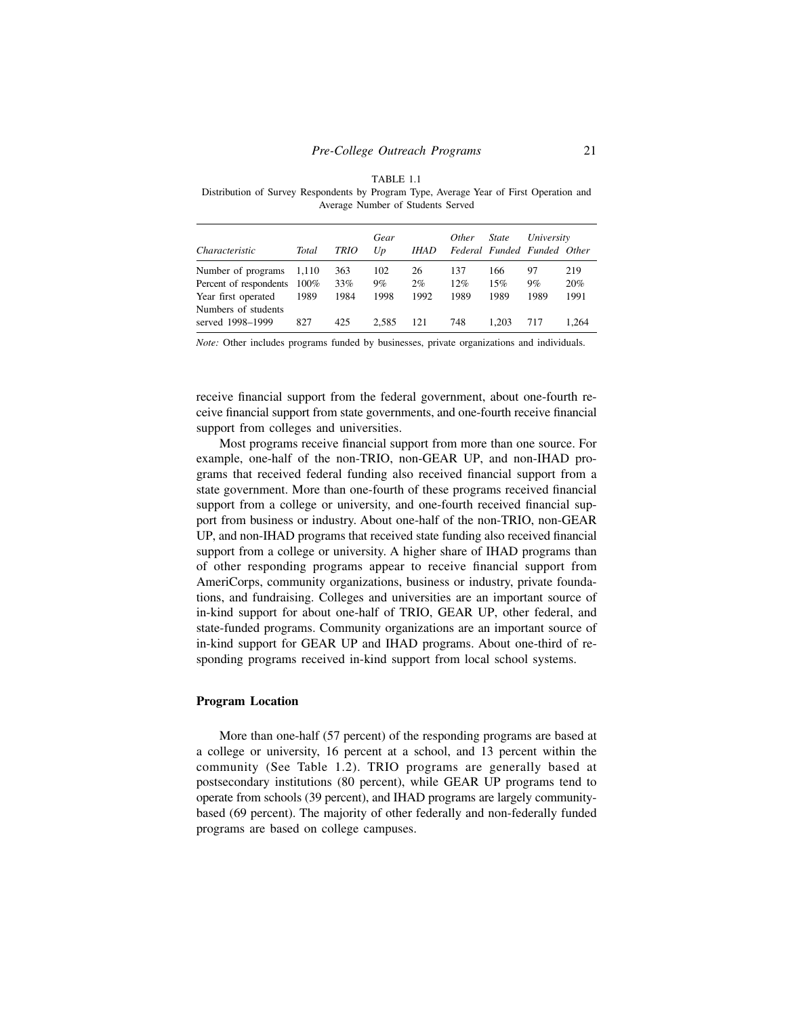| TABLE 1.1                                                                               |  |
|-----------------------------------------------------------------------------------------|--|
| Distribution of Survey Respondents by Program Type, Average Year of First Operation and |  |
| Average Number of Students Served                                                       |  |

| Characteristic         | Total   | <b>TRIO</b> | Gear<br>Up | IHAD | <i>Other</i> | <i>State</i> | University<br>Federal Funded Funded Other |      |
|------------------------|---------|-------------|------------|------|--------------|--------------|-------------------------------------------|------|
| Number of programs     | 1,110   | 363         | 102        | 26   | 137          | 166          | 97                                        | 219  |
| Percent of respondents | $100\%$ | 33%         | 9%         | 2%   | 12%          | 15%          | 9%                                        | 20%  |
| Year first operated    | 1989    | 1984        | 1998       | 1992 | 1989         | 1989         | 1989                                      | 1991 |
| Numbers of students    |         |             |            |      |              |              |                                           |      |
| served 1998–1999       | 827     | 425         | 2.585      | 121  | 748          | 1.203        | 717                                       | .264 |

*Note:* Other includes programs funded by businesses, private organizations and individuals.

receive financial support from the federal government, about one-fourth receive financial support from state governments, and one-fourth receive financial support from colleges and universities.

Most programs receive financial support from more than one source. For example, one-half of the non-TRIO, non-GEAR UP, and non-IHAD programs that received federal funding also received financial support from a state government. More than one-fourth of these programs received financial support from a college or university, and one-fourth received financial support from business or industry. About one-half of the non-TRIO, non-GEAR UP, and non-IHAD programs that received state funding also received financial support from a college or university. A higher share of IHAD programs than of other responding programs appear to receive financial support from AmeriCorps, community organizations, business or industry, private foundations, and fundraising. Colleges and universities are an important source of in-kind support for about one-half of TRIO, GEAR UP, other federal, and state-funded programs. Community organizations are an important source of in-kind support for GEAR UP and IHAD programs. About one-third of responding programs received in-kind support from local school systems.

## **Program Location**

More than one-half (57 percent) of the responding programs are based at a college or university, 16 percent at a school, and 13 percent within the community (See Table 1.2). TRIO programs are generally based at postsecondary institutions (80 percent), while GEAR UP programs tend to operate from schools (39 percent), and IHAD programs are largely communitybased (69 percent). The majority of other federally and non-federally funded programs are based on college campuses.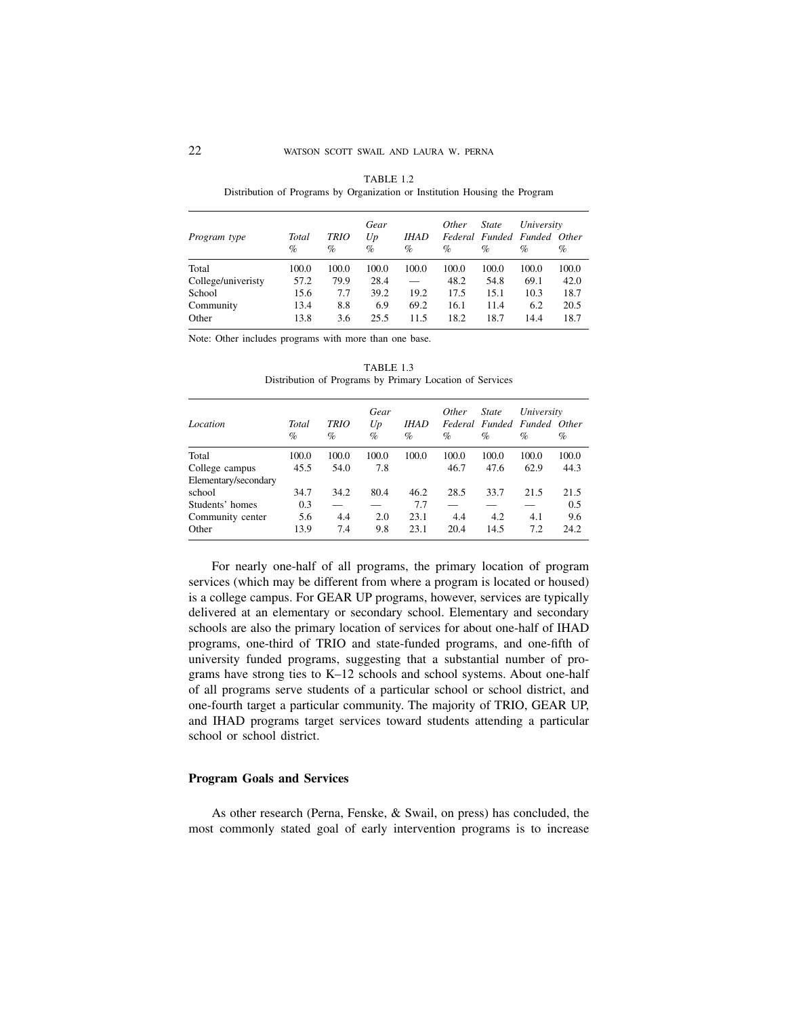| Program type       | Total<br>$\%$ | TRIO<br>$\%$ | Gear<br>Up<br>$\%$ | IHAD<br>$\%$ | <i>Other</i><br>$\%$ | <i>State</i><br>Federal Funded Funded Other<br>$\%$ | University<br>% | %     |
|--------------------|---------------|--------------|--------------------|--------------|----------------------|-----------------------------------------------------|-----------------|-------|
| Total              | 100.0         | 100.0        | 100.0              | 100.0        | 100.0                | 100.0                                               | 100.0           | 100.0 |
| College/univeristy | 57.2          | 79.9         | 28.4               |              | 48.2                 | 54.8                                                | 69.1            | 42.0  |
| School             | 15.6          | 7.7          | 39.2               | 19.2         | 17.5                 | 15.1                                                | 10.3            | 18.7  |
| Community          | 13.4          | 8.8          | 6.9                | 69.2         | 16.1                 | 11.4                                                | 6.2             | 20.5  |
| Other              | 13.8          | 3.6          | 25.5               | 11.5         | 18.2                 | 18.7                                                | 14.4            | 18.7  |

TABLE 1.2 Distribution of Programs by Organization or Institution Housing the Program

Note: Other includes programs with more than one base.

TABLE 1.3 Distribution of Programs by Primary Location of Services

|                      |               |                     | Gear          |              |       | <b>State</b> | University                          |       |
|----------------------|---------------|---------------------|---------------|--------------|-------|--------------|-------------------------------------|-------|
| Location             | Total<br>$\%$ | <b>TRIO</b><br>$\%$ | $U_p$<br>$\%$ | IHAD<br>$\%$ | $\%$  | $\%$         | Federal Funded Funded Other<br>$\%$ | $\%$  |
| Total                | 100.0         | 100.0               | 100.0         | 100.0        | 100.0 | 100.0        | 100.0                               | 100.0 |
| College campus       | 45.5          | 54.0                | 7.8           |              | 46.7  | 47.6         | 62.9                                | 44.3  |
| Elementary/secondary |               |                     |               |              |       |              |                                     |       |
| school               | 34.7          | 34.2                | 80.4          | 46.2         | 28.5  | 33.7         | 21.5                                | 21.5  |
| Students' homes      | 0.3           |                     |               | 7.7          |       |              |                                     | 0.5   |
| Community center     | 5.6           | 4.4                 | 2.0           | 23.1         | 4.4   | 4.2          | 4.1                                 | 9.6   |
| Other                | 13.9          | 7.4                 | 9.8           | 23.1         | 20.4  | 14.5         | 7.2                                 | 24.2  |

For nearly one-half of all programs, the primary location of program services (which may be different from where a program is located or housed) is a college campus. For GEAR UP programs, however, services are typically delivered at an elementary or secondary school. Elementary and secondary schools are also the primary location of services for about one-half of IHAD programs, one-third of TRIO and state-funded programs, and one-fifth of university funded programs, suggesting that a substantial number of programs have strong ties to K–12 schools and school systems. About one-half of all programs serve students of a particular school or school district, and one-fourth target a particular community. The majority of TRIO, GEAR UP, and IHAD programs target services toward students attending a particular school or school district.

#### **Program Goals and Services**

As other research (Perna, Fenske, & Swail, on press) has concluded, the most commonly stated goal of early intervention programs is to increase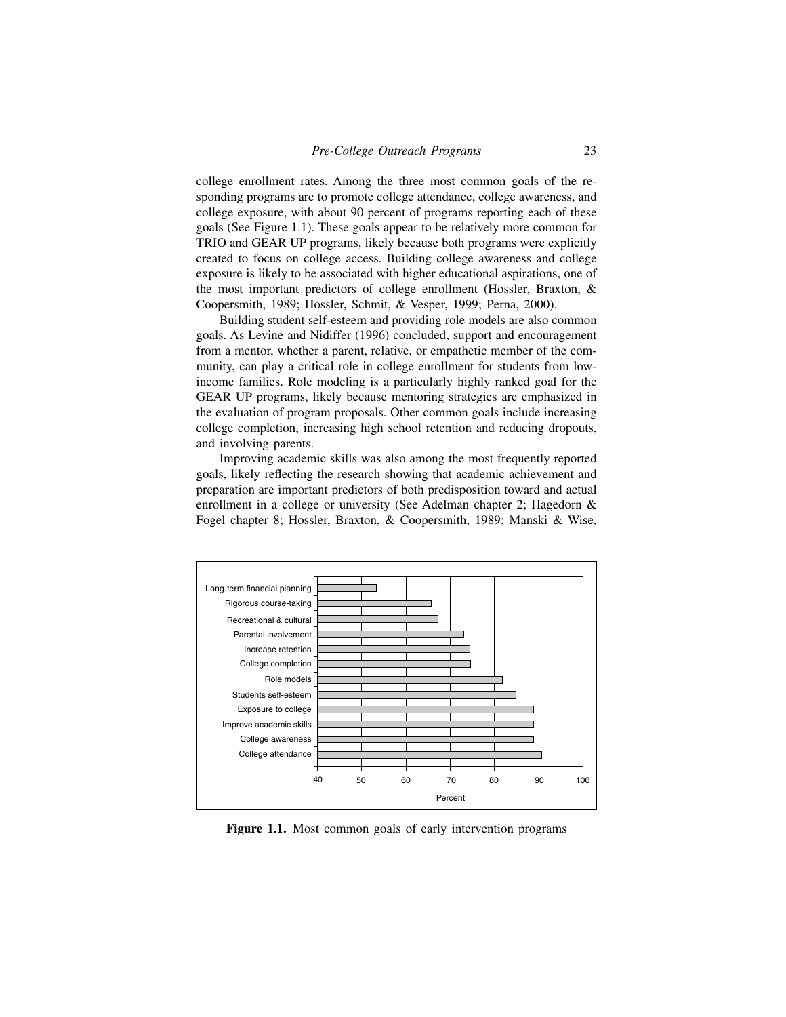college enrollment rates. Among the three most common goals of the responding programs are to promote college attendance, college awareness, and college exposure, with about 90 percent of programs reporting each of these goals (See Figure 1.1). These goals appear to be relatively more common for TRIO and GEAR UP programs, likely because both programs were explicitly created to focus on college access. Building college awareness and college exposure is likely to be associated with higher educational aspirations, one of the most important predictors of college enrollment (Hossler, Braxton, & Coopersmith, 1989; Hossler, Schmit, & Vesper, 1999; Perna, 2000).

Building student self-esteem and providing role models are also common goals. As Levine and Nidiffer (1996) concluded, support and encouragement from a mentor, whether a parent, relative, or empathetic member of the community, can play a critical role in college enrollment for students from lowincome families. Role modeling is a particularly highly ranked goal for the GEAR UP programs, likely because mentoring strategies are emphasized in the evaluation of program proposals. Other common goals include increasing college completion, increasing high school retention and reducing dropouts, and involving parents.

Improving academic skills was also among the most frequently reported goals, likely reflecting the research showing that academic achievement and preparation are important predictors of both predisposition toward and actual enrollment in a college or university (See Adelman chapter 2; Hagedorn & Fogel chapter 8; Hossler, Braxton, & Coopersmith, 1989; Manski & Wise,



**Figure 1.1.** Most common goals of early intervention programs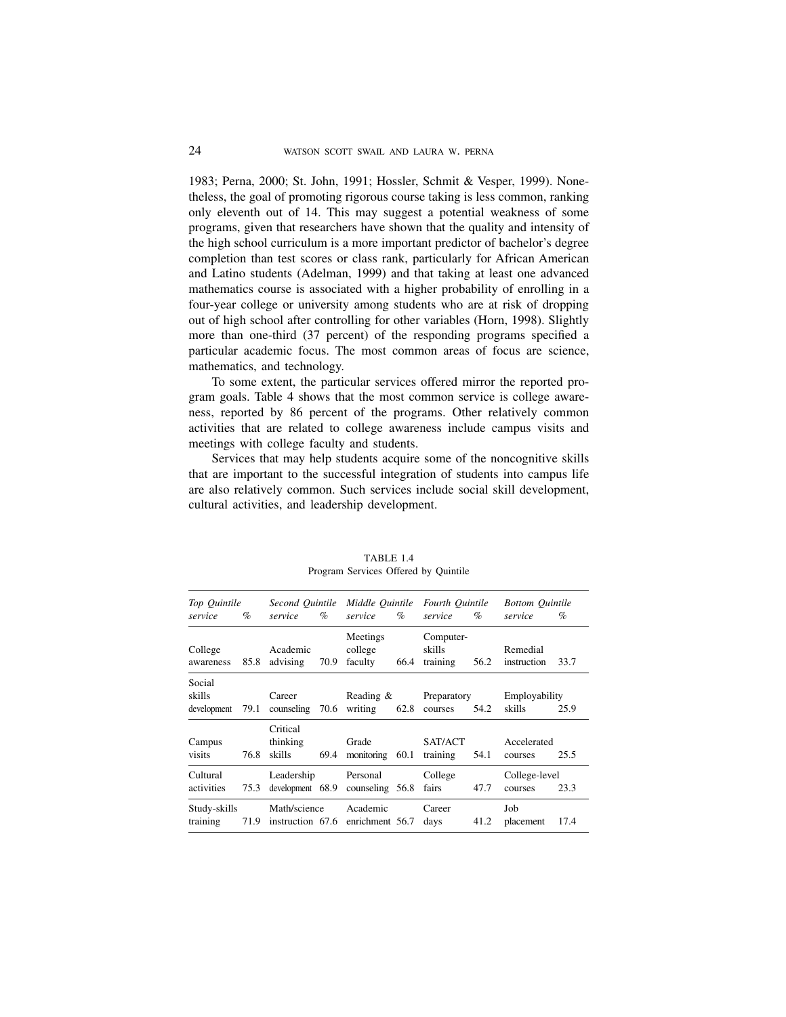1983; Perna, 2000; St. John, 1991; Hossler, Schmit & Vesper, 1999). Nonetheless, the goal of promoting rigorous course taking is less common, ranking only eleventh out of 14. This may suggest a potential weakness of some programs, given that researchers have shown that the quality and intensity of the high school curriculum is a more important predictor of bachelor's degree completion than test scores or class rank, particularly for African American and Latino students (Adelman, 1999) and that taking at least one advanced mathematics course is associated with a higher probability of enrolling in a four-year college or university among students who are at risk of dropping out of high school after controlling for other variables (Horn, 1998). Slightly more than one-third (37 percent) of the responding programs specified a particular academic focus. The most common areas of focus are science, mathematics, and technology.

To some extent, the particular services offered mirror the reported program goals. Table 4 shows that the most common service is college awareness, reported by 86 percent of the programs. Other relatively common activities that are related to college awareness include campus visits and meetings with college faculty and students.

Services that may help students acquire some of the noncognitive skills that are important to the successful integration of students into campus life are also relatively common. Such services include social skill development, cultural activities, and leadership development.

| Top Quintile                                    |      | Second Ouintile                |                                            | Middle Quintile                                   |      | Fourth Ouintile                        |      | <b>Bottom Quintile</b>   |      |
|-------------------------------------------------|------|--------------------------------|--------------------------------------------|---------------------------------------------------|------|----------------------------------------|------|--------------------------|------|
| service                                         | $\%$ | service                        | $\%$                                       | service                                           | $\%$ | service                                | $\%$ | service                  | %    |
| College<br>awareness                            |      | Academic<br>85.8 advising 70.9 |                                            | Meetings<br>college<br>faculty                    | 66.4 | Computer-<br>skills<br>training $56.2$ |      | Remedial<br>instruction  | 33.7 |
| Social<br>skills                                |      |                                | Career Reading & Preparatory Employability |                                                   |      |                                        |      |                          |      |
| $development$ 79.1 counseling 70.6 writing 62.8 |      |                                |                                            |                                                   |      | courses                                | 54.2 | skills                   | 25.9 |
| Campus<br>visits                                | 76.8 | Critical<br>thinking<br>skills |                                            | Grade<br>$69.4$ monitoring $60.1$                 |      | SAT/ACT<br>training                    | 54.1 | Accelerated<br>courses   | 25.5 |
| Cultural<br>activities                          | 75.3 | Leadership                     |                                            | Personal<br>development 68.9 counseling 56.8      |      | College<br>fairs                       | 47.7 | College-level<br>courses | 23.3 |
| Study-skills<br>training                        |      | Math/science                   |                                            | Academic<br>71.9 instruction 67.6 enrichment 56.7 |      | Career<br>days                         | 41.2 | Job<br>placement 17.4    |      |

TABLE 1.4 Program Services Offered by Quintile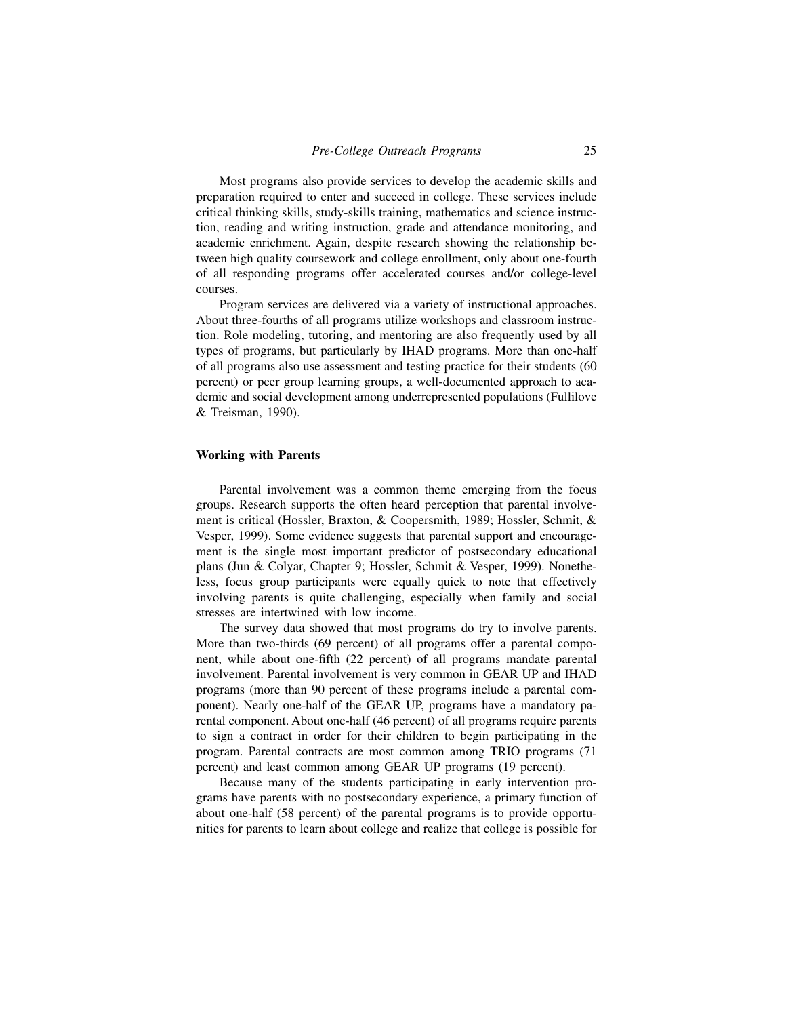Most programs also provide services to develop the academic skills and preparation required to enter and succeed in college. These services include critical thinking skills, study-skills training, mathematics and science instruction, reading and writing instruction, grade and attendance monitoring, and academic enrichment. Again, despite research showing the relationship between high quality coursework and college enrollment, only about one-fourth of all responding programs offer accelerated courses and/or college-level courses.

Program services are delivered via a variety of instructional approaches. About three-fourths of all programs utilize workshops and classroom instruction. Role modeling, tutoring, and mentoring are also frequently used by all types of programs, but particularly by IHAD programs. More than one-half of all programs also use assessment and testing practice for their students (60 percent) or peer group learning groups, a well-documented approach to academic and social development among underrepresented populations (Fullilove & Treisman, 1990).

### **Working with Parents**

Parental involvement was a common theme emerging from the focus groups. Research supports the often heard perception that parental involvement is critical (Hossler, Braxton, & Coopersmith, 1989; Hossler, Schmit, & Vesper, 1999). Some evidence suggests that parental support and encouragement is the single most important predictor of postsecondary educational plans (Jun & Colyar, Chapter 9; Hossler, Schmit & Vesper, 1999). Nonetheless, focus group participants were equally quick to note that effectively involving parents is quite challenging, especially when family and social stresses are intertwined with low income.

The survey data showed that most programs do try to involve parents. More than two-thirds (69 percent) of all programs offer a parental component, while about one-fifth (22 percent) of all programs mandate parental involvement. Parental involvement is very common in GEAR UP and IHAD programs (more than 90 percent of these programs include a parental component). Nearly one-half of the GEAR UP, programs have a mandatory parental component. About one-half (46 percent) of all programs require parents to sign a contract in order for their children to begin participating in the program. Parental contracts are most common among TRIO programs (71 percent) and least common among GEAR UP programs (19 percent).

Because many of the students participating in early intervention programs have parents with no postsecondary experience, a primary function of about one-half (58 percent) of the parental programs is to provide opportunities for parents to learn about college and realize that college is possible for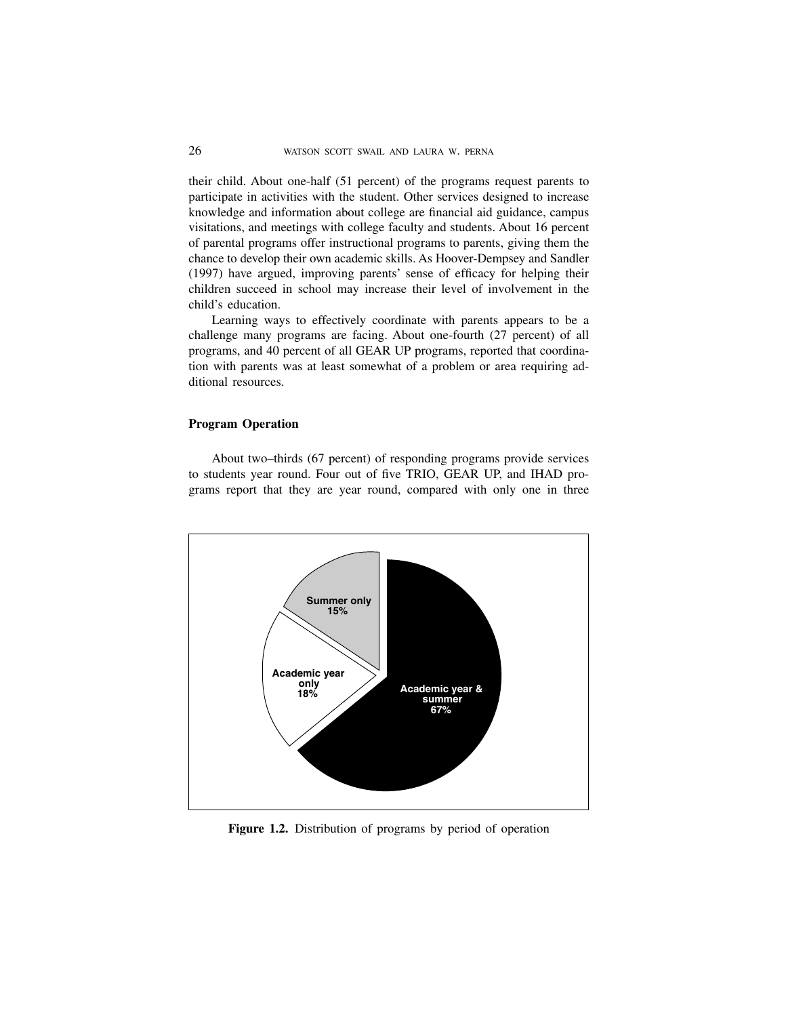their child. About one-half (51 percent) of the programs request parents to participate in activities with the student. Other services designed to increase knowledge and information about college are financial aid guidance, campus visitations, and meetings with college faculty and students. About 16 percent of parental programs offer instructional programs to parents, giving them the chance to develop their own academic skills. As Hoover-Dempsey and Sandler (1997) have argued, improving parents' sense of efficacy for helping their children succeed in school may increase their level of involvement in the child's education.

Learning ways to effectively coordinate with parents appears to be a challenge many programs are facing. About one-fourth (27 percent) of all programs, and 40 percent of all GEAR UP programs, reported that coordination with parents was at least somewhat of a problem or area requiring additional resources.

#### **Program Operation**

About two–thirds (67 percent) of responding programs provide services to students year round. Four out of five TRIO, GEAR UP, and IHAD programs report that they are year round, compared with only one in three



**Figure 1.2.** Distribution of programs by period of operation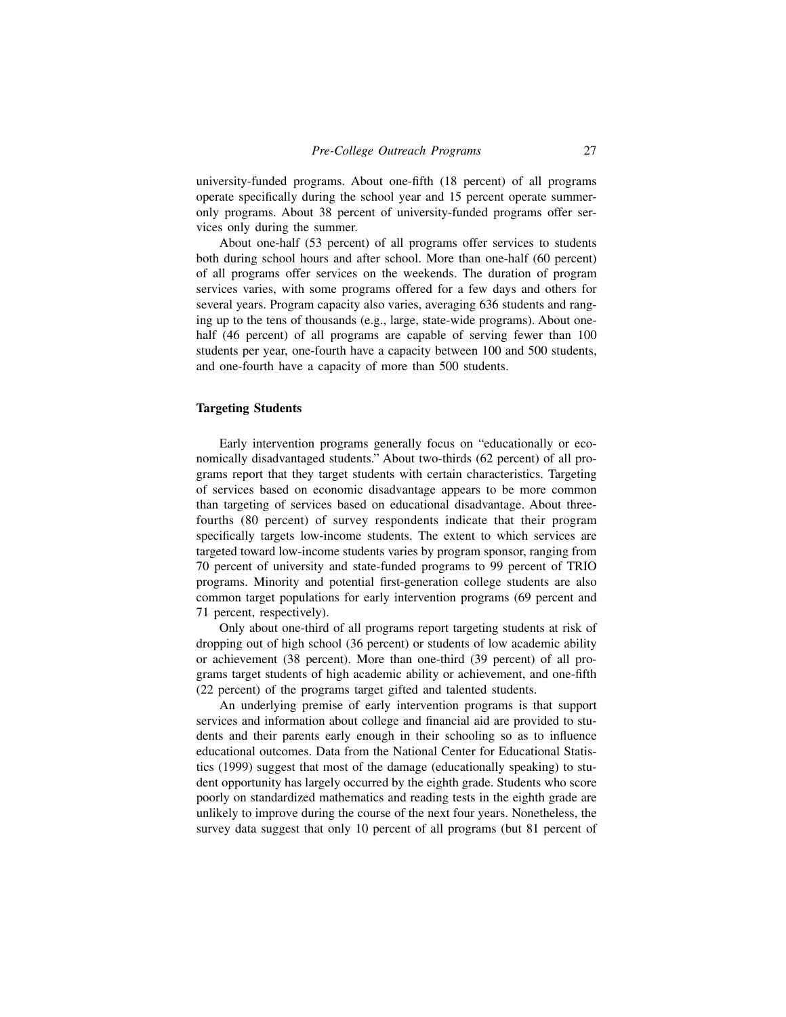university-funded programs. About one-fifth (18 percent) of all programs operate specifically during the school year and 15 percent operate summeronly programs. About 38 percent of university-funded programs offer services only during the summer.

About one-half (53 percent) of all programs offer services to students both during school hours and after school. More than one-half (60 percent) of all programs offer services on the weekends. The duration of program services varies, with some programs offered for a few days and others for several years. Program capacity also varies, averaging 636 students and ranging up to the tens of thousands (e.g., large, state-wide programs). About onehalf (46 percent) of all programs are capable of serving fewer than 100 students per year, one-fourth have a capacity between 100 and 500 students, and one-fourth have a capacity of more than 500 students.

## **Targeting Students**

Early intervention programs generally focus on "educationally or economically disadvantaged students." About two-thirds (62 percent) of all programs report that they target students with certain characteristics. Targeting of services based on economic disadvantage appears to be more common than targeting of services based on educational disadvantage. About threefourths (80 percent) of survey respondents indicate that their program specifically targets low-income students. The extent to which services are targeted toward low-income students varies by program sponsor, ranging from 70 percent of university and state-funded programs to 99 percent of TRIO programs. Minority and potential first-generation college students are also common target populations for early intervention programs (69 percent and 71 percent, respectively).

Only about one-third of all programs report targeting students at risk of dropping out of high school (36 percent) or students of low academic ability or achievement (38 percent). More than one-third (39 percent) of all programs target students of high academic ability or achievement, and one-fifth (22 percent) of the programs target gifted and talented students.

An underlying premise of early intervention programs is that support services and information about college and financial aid are provided to students and their parents early enough in their schooling so as to influence educational outcomes. Data from the National Center for Educational Statistics (1999) suggest that most of the damage (educationally speaking) to student opportunity has largely occurred by the eighth grade. Students who score poorly on standardized mathematics and reading tests in the eighth grade are unlikely to improve during the course of the next four years. Nonetheless, the survey data suggest that only 10 percent of all programs (but 81 percent of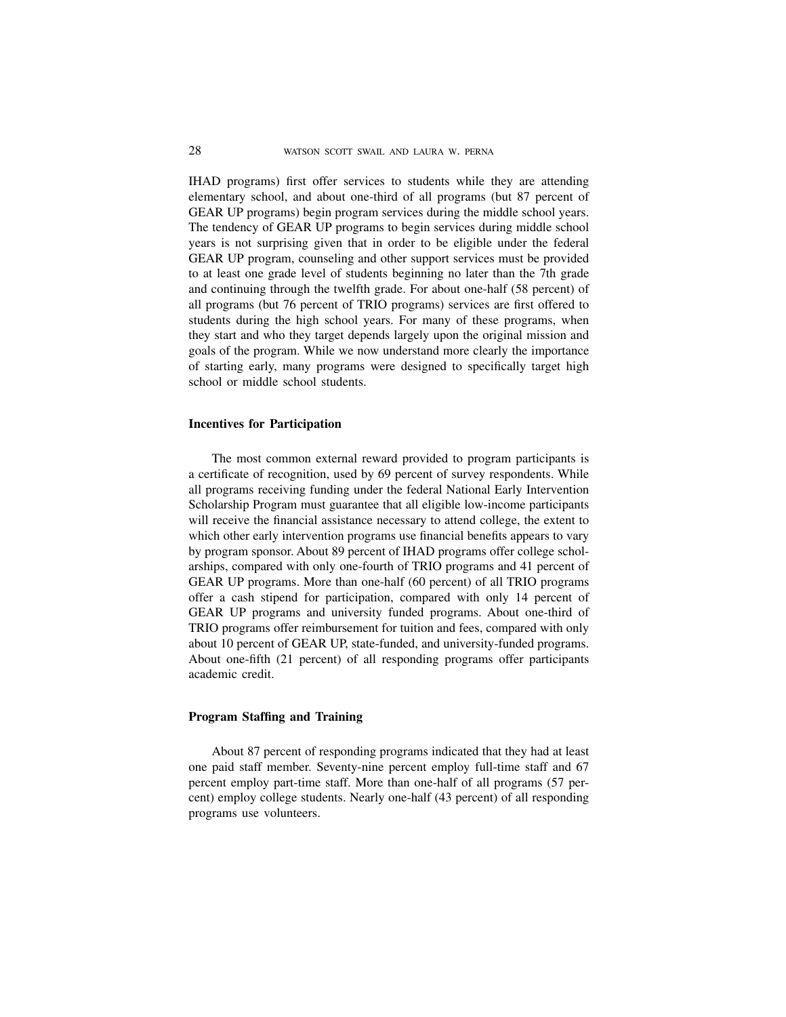IHAD programs) first offer services to students while they are attending elementary school, and about one-third of all programs (but 87 percent of GEAR UP programs) begin program services during the middle school years. The tendency of GEAR UP programs to begin services during middle school years is not surprising given that in order to be eligible under the federal GEAR UP program, counseling and other support services must be provided to at least one grade level of students beginning no later than the 7th grade and continuing through the twelfth grade. For about one-half (58 percent) of all programs (but 76 percent of TRIO programs) services are first offered to students during the high school years. For many of these programs, when they start and who they target depends largely upon the original mission and goals of the program. While we now understand more clearly the importance of starting early, many programs were designed to specifically target high school or middle school students.

#### **Incentives for Participation**

The most common external reward provided to program participants is a certificate of recognition, used by 69 percent of survey respondents. While all programs receiving funding under the federal National Early Intervention Scholarship Program must guarantee that all eligible low-income participants will receive the financial assistance necessary to attend college, the extent to which other early intervention programs use financial benefits appears to vary by program sponsor. About 89 percent of IHAD programs offer college scholarships, compared with only one-fourth of TRIO programs and 41 percent of GEAR UP programs. More than one-half (60 percent) of all TRIO programs offer a cash stipend for participation, compared with only 14 percent of GEAR UP programs and university funded programs. About one-third of TRIO programs offer reimbursement for tuition and fees, compared with only about 10 percent of GEAR UP, state-funded, and university-funded programs. About one-fifth (21 percent) of all responding programs offer participants academic credit.

#### **Program Staffing and Training**

About 87 percent of responding programs indicated that they had at least one paid staff member. Seventy-nine percent employ full-time staff and 67 percent employ part-time staff. More than one-half of all programs (57 percent) employ college students. Nearly one-half (43 percent) of all responding programs use volunteers.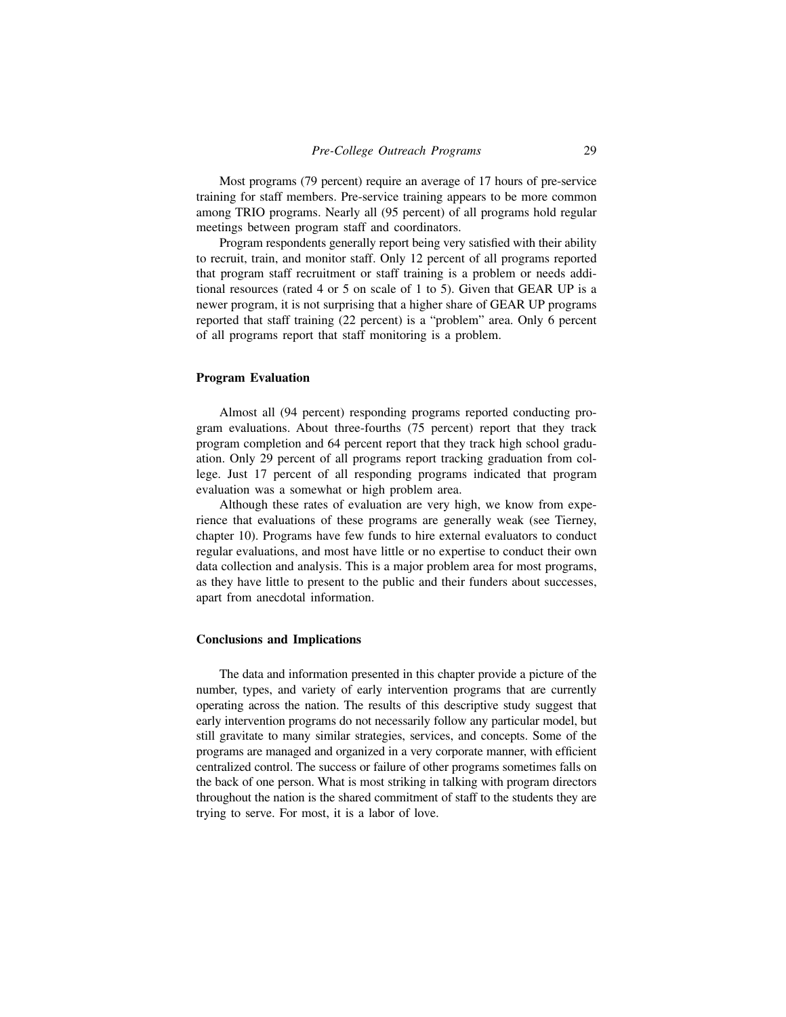Most programs (79 percent) require an average of 17 hours of pre-service training for staff members. Pre-service training appears to be more common among TRIO programs. Nearly all (95 percent) of all programs hold regular meetings between program staff and coordinators.

Program respondents generally report being very satisfied with their ability to recruit, train, and monitor staff. Only 12 percent of all programs reported that program staff recruitment or staff training is a problem or needs additional resources (rated 4 or 5 on scale of 1 to 5). Given that GEAR UP is a newer program, it is not surprising that a higher share of GEAR UP programs reported that staff training (22 percent) is a "problem" area. Only 6 percent of all programs report that staff monitoring is a problem.

# **Program Evaluation**

Almost all (94 percent) responding programs reported conducting program evaluations. About three-fourths (75 percent) report that they track program completion and 64 percent report that they track high school graduation. Only 29 percent of all programs report tracking graduation from college. Just 17 percent of all responding programs indicated that program evaluation was a somewhat or high problem area.

Although these rates of evaluation are very high, we know from experience that evaluations of these programs are generally weak (see Tierney, chapter 10). Programs have few funds to hire external evaluators to conduct regular evaluations, and most have little or no expertise to conduct their own data collection and analysis. This is a major problem area for most programs, as they have little to present to the public and their funders about successes, apart from anecdotal information.

#### **Conclusions and Implications**

The data and information presented in this chapter provide a picture of the number, types, and variety of early intervention programs that are currently operating across the nation. The results of this descriptive study suggest that early intervention programs do not necessarily follow any particular model, but still gravitate to many similar strategies, services, and concepts. Some of the programs are managed and organized in a very corporate manner, with efficient centralized control. The success or failure of other programs sometimes falls on the back of one person. What is most striking in talking with program directors throughout the nation is the shared commitment of staff to the students they are trying to serve. For most, it is a labor of love.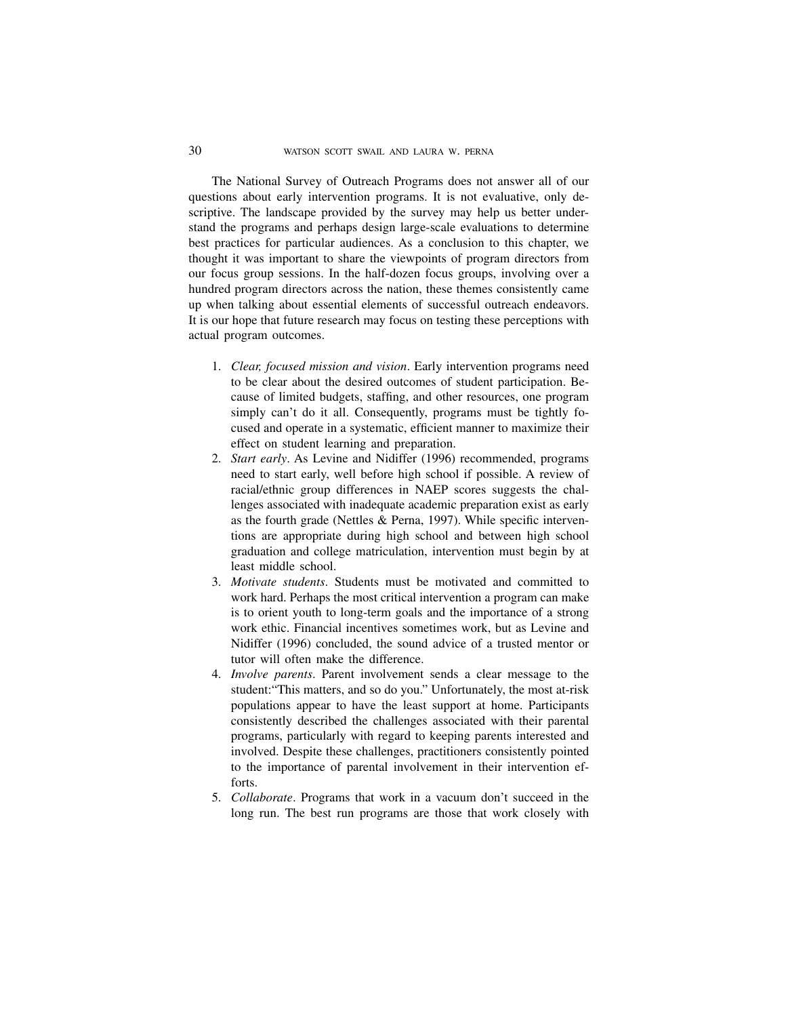The National Survey of Outreach Programs does not answer all of our questions about early intervention programs. It is not evaluative, only descriptive. The landscape provided by the survey may help us better understand the programs and perhaps design large-scale evaluations to determine best practices for particular audiences. As a conclusion to this chapter, we thought it was important to share the viewpoints of program directors from our focus group sessions. In the half-dozen focus groups, involving over a hundred program directors across the nation, these themes consistently came up when talking about essential elements of successful outreach endeavors. It is our hope that future research may focus on testing these perceptions with actual program outcomes.

- 1. *Clear, focused mission and vision*. Early intervention programs need to be clear about the desired outcomes of student participation. Because of limited budgets, staffing, and other resources, one program simply can't do it all. Consequently, programs must be tightly focused and operate in a systematic, efficient manner to maximize their effect on student learning and preparation.
- 2. *Start early*. As Levine and Nidiffer (1996) recommended, programs need to start early, well before high school if possible. A review of racial/ethnic group differences in NAEP scores suggests the challenges associated with inadequate academic preparation exist as early as the fourth grade (Nettles & Perna, 1997). While specific interventions are appropriate during high school and between high school graduation and college matriculation, intervention must begin by at least middle school.
- 3. *Motivate students*. Students must be motivated and committed to work hard. Perhaps the most critical intervention a program can make is to orient youth to long-term goals and the importance of a strong work ethic. Financial incentives sometimes work, but as Levine and Nidiffer (1996) concluded, the sound advice of a trusted mentor or tutor will often make the difference.
- 4. *Involve parents*. Parent involvement sends a clear message to the student:"This matters, and so do you." Unfortunately, the most at-risk populations appear to have the least support at home. Participants consistently described the challenges associated with their parental programs, particularly with regard to keeping parents interested and involved. Despite these challenges, practitioners consistently pointed to the importance of parental involvement in their intervention efforts.
- 5. *Collaborate*. Programs that work in a vacuum don't succeed in the long run. The best run programs are those that work closely with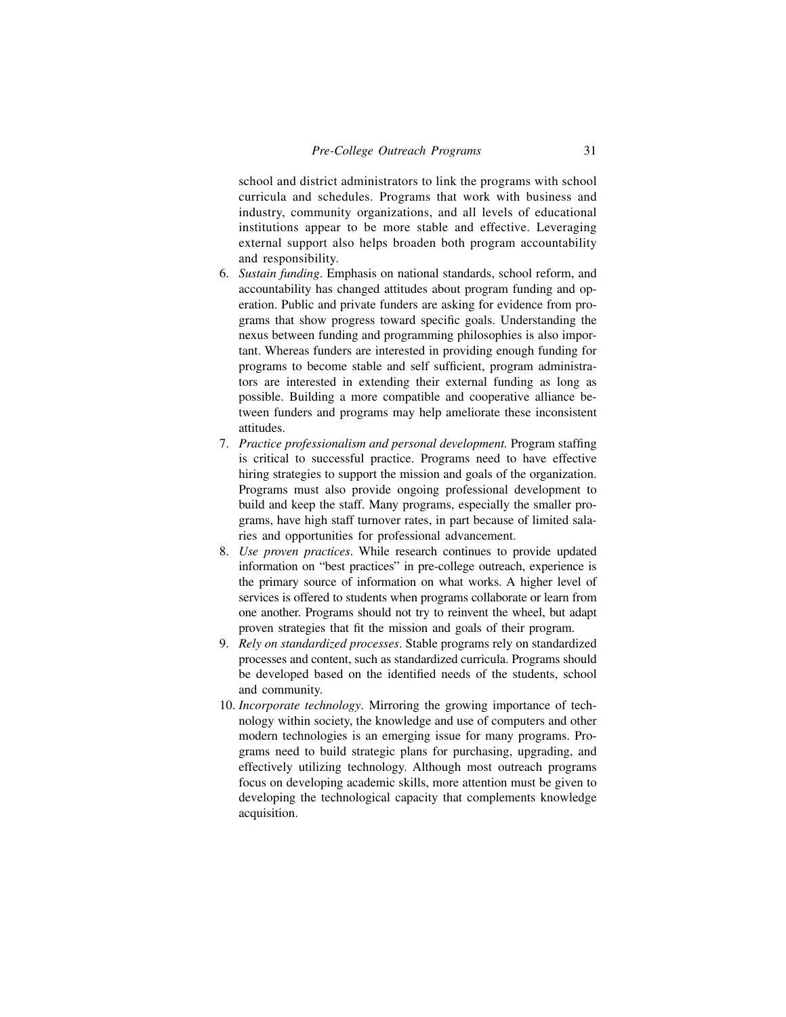school and district administrators to link the programs with school curricula and schedules. Programs that work with business and industry, community organizations, and all levels of educational institutions appear to be more stable and effective. Leveraging external support also helps broaden both program accountability and responsibility.

- 6. *Sustain funding*. Emphasis on national standards, school reform, and accountability has changed attitudes about program funding and operation. Public and private funders are asking for evidence from programs that show progress toward specific goals. Understanding the nexus between funding and programming philosophies is also important. Whereas funders are interested in providing enough funding for programs to become stable and self sufficient, program administrators are interested in extending their external funding as long as possible. Building a more compatible and cooperative alliance between funders and programs may help ameliorate these inconsistent attitudes.
- 7. *Practice professionalism and personal development.* Program staffing is critical to successful practice. Programs need to have effective hiring strategies to support the mission and goals of the organization. Programs must also provide ongoing professional development to build and keep the staff. Many programs, especially the smaller programs, have high staff turnover rates, in part because of limited salaries and opportunities for professional advancement.
- 8. *Use proven practices*. While research continues to provide updated information on "best practices" in pre-college outreach, experience is the primary source of information on what works. A higher level of services is offered to students when programs collaborate or learn from one another. Programs should not try to reinvent the wheel, but adapt proven strategies that fit the mission and goals of their program.
- 9. *Rely on standardized processes*. Stable programs rely on standardized processes and content, such as standardized curricula. Programs should be developed based on the identified needs of the students, school and community.
- 10. *Incorporate technology*. Mirroring the growing importance of technology within society, the knowledge and use of computers and other modern technologies is an emerging issue for many programs. Programs need to build strategic plans for purchasing, upgrading, and effectively utilizing technology. Although most outreach programs focus on developing academic skills, more attention must be given to developing the technological capacity that complements knowledge acquisition.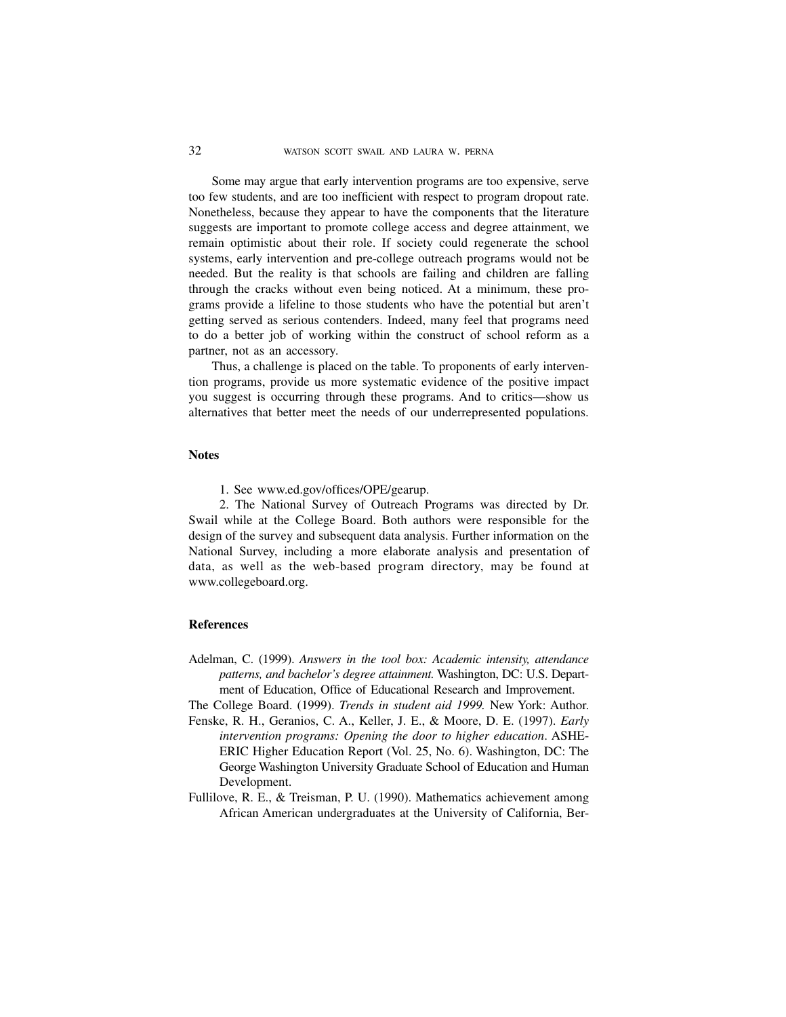Some may argue that early intervention programs are too expensive, serve too few students, and are too inefficient with respect to program dropout rate. Nonetheless, because they appear to have the components that the literature suggests are important to promote college access and degree attainment, we remain optimistic about their role. If society could regenerate the school systems, early intervention and pre-college outreach programs would not be needed. But the reality is that schools are failing and children are falling through the cracks without even being noticed. At a minimum, these programs provide a lifeline to those students who have the potential but aren't getting served as serious contenders. Indeed, many feel that programs need to do a better job of working within the construct of school reform as a partner, not as an accessory.

Thus, a challenge is placed on the table. To proponents of early intervention programs, provide us more systematic evidence of the positive impact you suggest is occurring through these programs. And to critics—show us alternatives that better meet the needs of our underrepresented populations.

### **Notes**

1. See www.ed.gov/offices/OPE/gearup.

2. The National Survey of Outreach Programs was directed by Dr. Swail while at the College Board. Both authors were responsible for the design of the survey and subsequent data analysis. Further information on the National Survey, including a more elaborate analysis and presentation of data, as well as the web-based program directory, may be found at www.collegeboard.org.

## **References**

Adelman, C. (1999). *Answers in the tool box: Academic intensity, attendance patterns, and bachelor's degree attainment.* Washington, DC: U.S. Department of Education, Office of Educational Research and Improvement.

The College Board. (1999). *Trends in student aid 1999.* New York: Author.

- Fenske, R. H., Geranios, C. A., Keller, J. E., & Moore, D. E. (1997). *Early intervention programs: Opening the door to higher education*. ASHE-ERIC Higher Education Report (Vol. 25, No. 6). Washington, DC: The George Washington University Graduate School of Education and Human Development.
- Fullilove, R. E., & Treisman, P. U. (1990). Mathematics achievement among African American undergraduates at the University of California, Ber-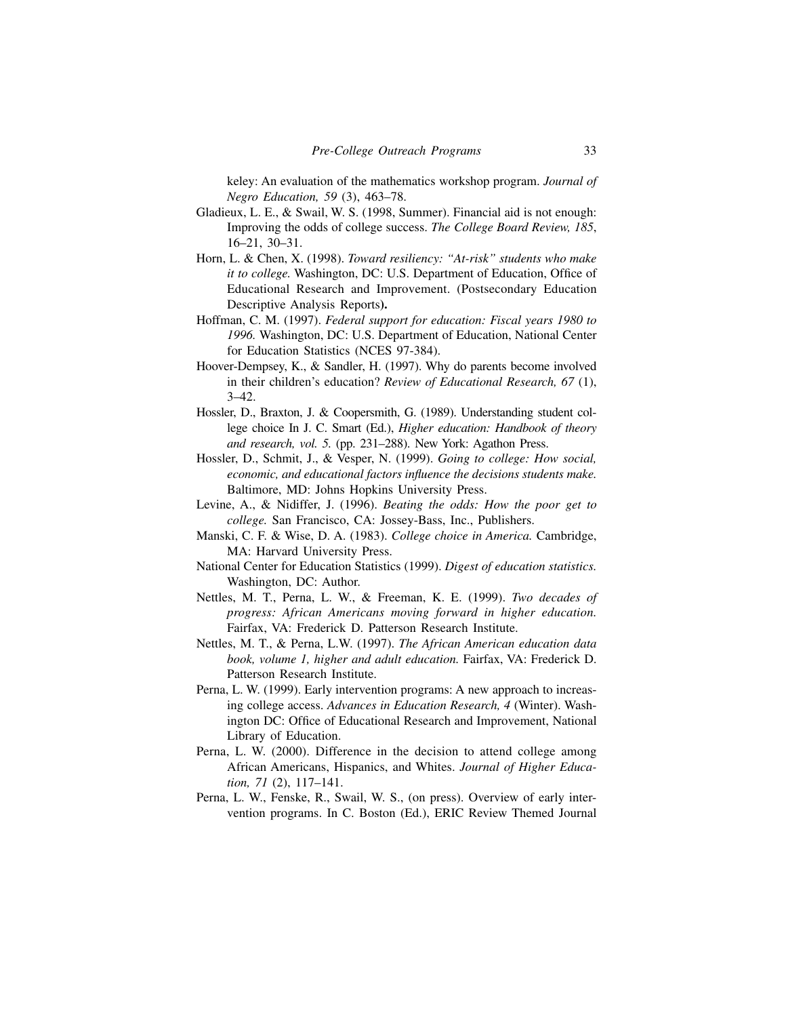keley: An evaluation of the mathematics workshop program. *Journal of Negro Education, 59* (3), 463–78.

- Gladieux, L. E., & Swail, W. S. (1998, Summer). Financial aid is not enough: Improving the odds of college success. *The College Board Review, 185*, 16–21, 30–31.
- Horn, L. & Chen, X. (1998). *Toward resiliency: "At-risk" students who make it to college.* Washington, DC: U.S. Department of Education, Office of Educational Research and Improvement. (Postsecondary Education Descriptive Analysis Reports**).**
- Hoffman, C. M. (1997). *Federal support for education: Fiscal years 1980 to 1996.* Washington, DC: U.S. Department of Education, National Center for Education Statistics (NCES 97-384).
- Hoover-Dempsey, K., & Sandler, H. (1997). Why do parents become involved in their children's education? *Review of Educational Research, 67* (1), 3–42.
- Hossler, D., Braxton, J. & Coopersmith, G. (1989). Understanding student college choice In J. C. Smart (Ed.), *Higher education: Handbook of theory and research, vol. 5.* (pp. 231–288). New York: Agathon Press.
- Hossler, D., Schmit, J., & Vesper, N. (1999). *Going to college: How social, economic, and educational factors influence the decisions students make.* Baltimore, MD: Johns Hopkins University Press.
- Levine, A., & Nidiffer, J. (1996). *Beating the odds: How the poor get to college.* San Francisco, CA: Jossey-Bass, Inc., Publishers.
- Manski, C. F. & Wise, D. A. (1983). *College choice in America.* Cambridge, MA: Harvard University Press.
- National Center for Education Statistics (1999). *Digest of education statistics.* Washington, DC: Author.
- Nettles, M. T., Perna, L. W., & Freeman, K. E. (1999). *Two decades of progress: African Americans moving forward in higher education.* Fairfax, VA: Frederick D. Patterson Research Institute.
- Nettles, M. T., & Perna, L.W. (1997). *The African American education data book, volume 1, higher and adult education.* Fairfax, VA: Frederick D. Patterson Research Institute.
- Perna, L. W. (1999). Early intervention programs: A new approach to increasing college access. *Advances in Education Research, 4* (Winter). Washington DC: Office of Educational Research and Improvement, National Library of Education.
- Perna, L. W. (2000). Difference in the decision to attend college among African Americans, Hispanics, and Whites. *Journal of Higher Education, 71* (2), 117–141.
- Perna, L. W., Fenske, R., Swail, W. S., (on press). Overview of early intervention programs. In C. Boston (Ed.), ERIC Review Themed Journal